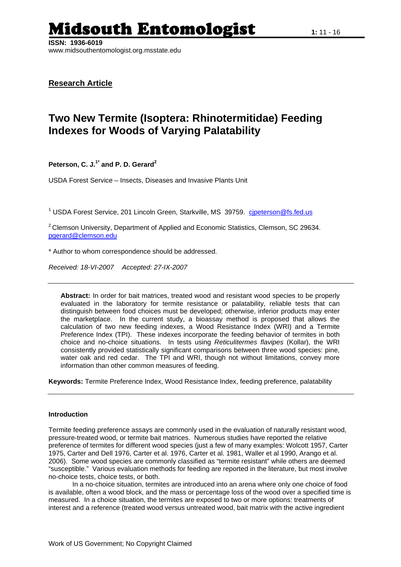**ISSN: 1936-6019**  www.midsouthentomologist.org.msstate.edu

# **Research Article**

# **Two New Termite (Isoptera: Rhinotermitidae) Feeding Indexes for Woods of Varying Palatability**

## **Peterson, C. J.1\* and P. D. Gerard2**

USDA Forest Service – Insects, Diseases and Invasive Plants Unit

<sup>1</sup> USDA Forest Service, 201 Lincoln Green, Starkville, MS 39759. cipeterson@fs.fed.us

<sup>2</sup> Clemson University, Department of Applied and Economic Statistics, Clemson, SC 29634. [pgerard@clemson.edu](mailto:pgerard@clemson.edu) 

\* Author to whom correspondence should be addressed.

*Received: 18-VI-2007 Accepted: 27-IX-2007*

**Abstract:** In order for bait matrices, treated wood and resistant wood species to be properly evaluated in the laboratory for termite resistance or palatability, reliable tests that can distinguish between food choices must be developed; otherwise, inferior products may enter the marketplace. In the current study, a bioassay method is proposed that allows the calculation of two new feeding indexes, a Wood Resistance Index (WRI) and a Termite Preference Index (TPI). These indexes incorporate the feeding behavior of termites in both choice and no-choice situations. In tests using *Reticulitermes flavipes* (Kollar), the WRI consistently provided statistically significant comparisons between three wood species: pine, water oak and red cedar. The TPI and WRI, though not without limitations, convey more information than other common measures of feeding.

**Keywords:** Termite Preference Index, Wood Resistance Index, feeding preference, palatability

#### **Introduction**

Termite feeding preference assays are commonly used in the evaluation of naturally resistant wood, pressure-treated wood, or termite bait matrices. Numerous studies have reported the relative preference of termites for different wood species (just a few of many examples: Wolcott 1957, Carter 1975, Carter and Dell 1976, Carter et al. 1976, Carter et al. 1981, Waller et al 1990, Arango et al. 2006). Some wood species are commonly classified as "termite resistant" while others are deemed "susceptible." Various evaluation methods for feeding are reported in the literature, but most involve no-choice tests, choice tests, or both.

In a no-choice situation, termites are introduced into an arena where only one choice of food is available, often a wood block, and the mass or percentage loss of the wood over a specified time is measured. In a choice situation, the termites are exposed to two or more options: treatments of interest and a reference (treated wood versus untreated wood, bait matrix with the active ingredient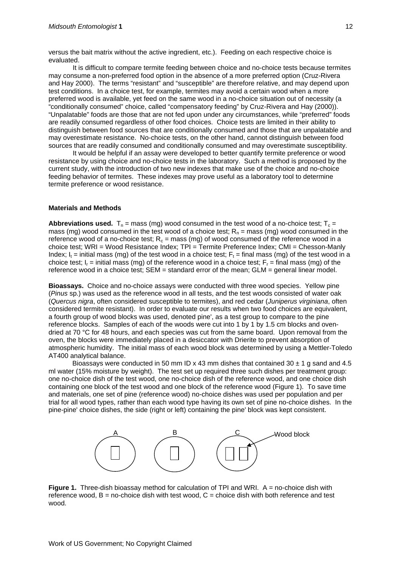versus the bait matrix without the active ingredient, etc.). Feeding on each respective choice is evaluated.

It is difficult to compare termite feeding between choice and no-choice tests because termites may consume a non-preferred food option in the absence of a more preferred option (Cruz-Rivera and Hay 2000). The terms "resistant" and "susceptible" are therefore relative, and may depend upon test conditions. In a choice test, for example, termites may avoid a certain wood when a more preferred wood is available, yet feed on the same wood in a no-choice situation out of necessity (a "conditionally consumed" choice, called "compensatory feeding" by Cruz-Rivera and Hay (2000)). "Unpalatable" foods are those that are not fed upon under any circumstances, while "preferred" foods are readily consumed regardless of other food choices. Choice tests are limited in their ability to distinguish between food sources that are conditionally consumed and those that are unpalatable and may overestimate resistance. No-choice tests, on the other hand, cannot distinguish between food sources that are readily consumed and conditionally consumed and may overestimate susceptibility.

It would be helpful if an assay were developed to better quantify termite preference or wood resistance by using choice and no-choice tests in the laboratory. Such a method is proposed by the current study, with the introduction of two new indexes that make use of the choice and no-choice feeding behavior of termites. These indexes may prove useful as a laboratory tool to determine termite preference or wood resistance.

#### **Materials and Methods**

**Abbreviations used.**  $T_n$  = mass (mg) wood consumed in the test wood of a no-choice test;  $T_c$  = mass (mg) wood consumed in the test wood of a choice test;  $R_n$  = mass (mg) wood consumed in the reference wood of a no-choice test;  $R_c$  = mass (mg) of wood consumed of the reference wood in a choice test; WRI = Wood Resistance Index; TPI = Termite Preference Index; CMI = Chesson-Manly Index;  $I_t =$  initial mass (mg) of the test wood in a choice test;  $F_t =$  final mass (mg) of the test wood in a choice test;  $I<sub>r</sub> =$  initial mass (mg) of the reference wood in a choice test;  $F<sub>r</sub> =$  final mass (mg) of the reference wood in a choice test; SEM = standard error of the mean; GLM = general linear model.

**Bioassays.**Choice and no-choice assays were conducted with three wood species. Yellow pine (*Pinus* sp.) was used as the reference wood in all tests, and the test woods consisted of water oak (*Quercus nigra*, often considered susceptible to termites), and red cedar (*Juniperus virginiana*, often considered termite resistant). In order to evaluate our results when two food choices are equivalent, a fourth group of wood blocks was used, denoted pine', as a test group to compare to the pine reference blocks. Samples of each of the woods were cut into 1 by 1 by 1.5 cm blocks and ovendried at 70 °C for 48 hours, and each species was cut from the same board. Upon removal from the oven, the blocks were immediately placed in a desiccator with Drierite to prevent absorption of atmospheric humidity. The initial mass of each wood block was determined by using a Mettler-Toledo AT400 analytical balance.

Bioassays were conducted in 50 mm ID x 43 mm dishes that contained 30  $\pm$  1 g sand and 4.5 ml water (15% moisture by weight). The test set up required three such dishes per treatment group: one no-choice dish of the test wood, one no-choice dish of the reference wood, and one choice dish containing one block of the test wood and one block of the reference wood (Figure 1). To save time and materials, one set of pine (reference wood) no-choice dishes was used per population and per trial for all wood types, rather than each wood type having its own set of pine no-choice dishes. In the pine-pine' choice dishes, the side (right or left) containing the pine' block was kept consistent.



**Figure 1.** Three-dish bioassay method for calculation of TPI and WRI. A = no-choice dish with reference wood,  $B = no$ -choice dish with test wood,  $C =$  choice dish with both reference and test wood.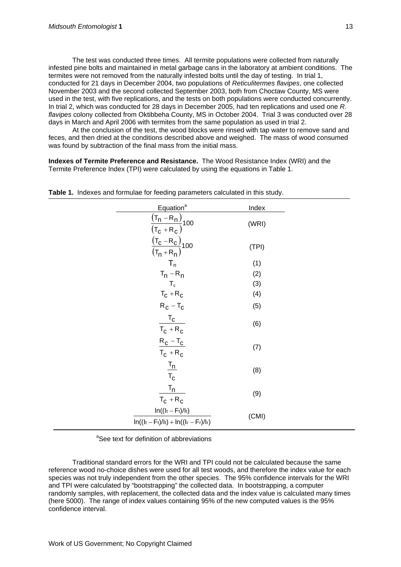The test was conducted three times. All termite populations were collected from naturally infested pine bolts and maintained in metal garbage cans in the laboratory at ambient conditions. The termites were not removed from the naturally infested bolts until the day of testing. In trial 1, conducted for 21 days in December 2004, two populations of *Reticulitermes flavipes*, one collected November 2003 and the second collected September 2003, both from Choctaw County, MS were used in the test, with five replications, and the tests on both populations were conducted concurrently. In trial 2, which was conducted for 28 days in December 2005, had ten replications and used one *R. flavipes* colony collected from Oktibbeha County, MS in October 2004. Trial 3 was conducted over 28 days in March and April 2006 with termites from the same population as used in trial 2.

At the conclusion of the test, the wood blocks were rinsed with tap water to remove sand and feces, and then dried at the conditions described above and weighed. The mass of wood consumed was found by subtraction of the final mass from the initial mass.

**Indexes of Termite Preference and Resistance.** The Wood Resistance Index (WRI) and the Termite Preference Index (TPI) were calculated by using the equations in Table 1.

| Equation <sup>a</sup>                                                                       | Index |  |
|---------------------------------------------------------------------------------------------|-------|--|
| $\frac{(\mathsf{T}_n - \mathsf{R}_n)}{(\mathsf{T}_\mathsf{C} + \mathsf{R}_\mathsf{C})}$ 100 | (WRI) |  |
| $\frac{(T_c - R_c)}{(T_n + R_n)}$ 100                                                       | (TPI) |  |
| $T_n$                                                                                       | (1)   |  |
| $T_n - R_n$                                                                                 | (2)   |  |
| $T_c$                                                                                       | (3)   |  |
| $T_C + R_C$                                                                                 | (4)   |  |
| $R_C - T_C$                                                                                 | (5)   |  |
| $T_c$<br>$T_C + R_C$                                                                        | (6)   |  |
| $R_C - T_C$<br>$T_C + R_C$                                                                  | (7)   |  |
| $\frac{T_n}{T}$<br>$T_{\rm C}$                                                              | (8)   |  |
| $T_n$<br>$T_C + R_C$                                                                        | (9)   |  |
| $In((It - Et)/It)$<br>$ln((lt - Ft)/lt) + ln((lt - Fr)/lt)$                                 | (CMI) |  |

**Table 1.** Indexes and formulae for feeding parameters calculated in this study.

<sup>a</sup>See text for definition of abbreviations

Traditional standard errors for the WRI and TPI could not be calculated because the same reference wood no-choice dishes were used for all test woods, and therefore the index value for each species was not truly independent from the other species. The 95% confidence intervals for the WRI and TPI were calculated by "bootstrapping" the collected data. In bootstrapping, a computer randomly samples, with replacement, the collected data and the index value is calculated many times (here 5000). The range of index values containing 95% of the new computed values is the 95% confidence interval.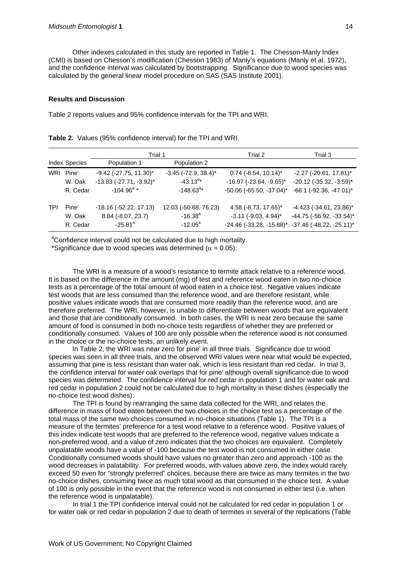Other indexes calculated in this study are reported in Table 1. The Chesson-Manly Index (CMI) is based on Chesson's modification (Chesson 1983) of Manly's equations (Manly et al. 1972), and the confidence interval was calculated by bootstrapping. Significance due to wood species was calculated by the general linear model procedure on SAS (SAS Institute 2001).

#### **Results and Discussion**

Table 2 reports values and 95% confidence intervals for the TPI and WRI.

|            |                      | Trial 1                      |                               | Trial 2                            | Trial 3                           |
|------------|----------------------|------------------------------|-------------------------------|------------------------------------|-----------------------------------|
|            | <b>Index Species</b> | Population 1                 | Population 2                  |                                    |                                   |
| WRI        | Pine'                | $-9.42$ ( $-27.75$ , 11.30)* | $-3.45$ ( $-72.9$ , $38.4$ )* | $0.74$ (-8.54, 10.14) <sup>*</sup> | $-2.27$ ( $-20.61$ , 17.81)*      |
|            | W. Oak               | $-13.83$ $(-27.71, -3.92)^*$ | $-43.13^{a*}$                 | $-16.97$ ( $-23.64$ , $-9.65$ )*   | $-20.12$ ( $-35.32$ , $-3.59$ )*  |
|            | R. Cedar             | $-104.96^{\circ}$ *          | $-148.63^{a*}$                | $-50.06$ ( $-65.50$ , $-37.04$ )*  | $-66.1$ ( $-92.36$ , $-47.01$ )*  |
| <b>TPI</b> | Pine'                | $-18.16$ ( $-52.22$ , 17.13) | 12.03 (-50.68, 76.23)         | 4.58 (-8.73, 17.65)*               | $-4.423$ ( $-34.61$ , 23.86)*     |
|            | W. Oak               | 8.84 (-8.07, 23.7)           | $-16.38^{a}$                  | $-3.11$ ( $-9.03$ , $4.94$ )*      | $-44.75$ ( $-56.92$ , $-33.54$ )* |
|            | R. Cedar             | $-25.81$ <sup>a</sup>        | $-12.05^{\circ}$              | $-24.46$ ( $-33.28$ , $-15.88$ )*  | $-37.46$ ( $-48.22$ , $-25.11$ )* |

**Table 2.** Values (95% confidence interval) for the TPI and WRI.

<sup>a</sup>Confidence interval could not be calculated due to high mortality.

\*Significance due to wood species was determined ( $\alpha = 0.05$ ).

The WRI is a measure of a wood's resistance to termite attack relative to a reference wood. It is based on the difference in the amount (mg) of test and reference wood eaten in two no-choice tests as a percentage of the total amount of wood eaten in a choice test. Negative values indicate test woods that are less consumed than the reference wood, and are therefore resistant, while positive values indicate woods that are consumed more readily than the reference wood, and are therefore preferred. The WRI, however, is unable to differentiate between woods that are equivalent and those that are conditionally consumed. In both cases, the WRI is near zero because the same amount of food is consumed in both no-choice tests regardless of whether they are preferred or conditionally consumed. Values of 100 are only possible when the reference wood is not consumed in the choice or the no-choice tests, an unlikely event.

In Table 2, the WRI was near zero for pine' in all three trials. Significance due to wood species was seen in all three trials, and the observed WRI values were near what would be expected, assuming that pine is less resistant than water oak, which is less resistant than red cedar. In trial 3, the confidence interval for water oak overlaps that for pine' although overall significance due to wood species was determined. The confidence interval for red cedar in population 1 and for water oak and red cedar in population 2 could not be calculated due to high mortality in these dishes (especially the no-choice test wood dishes).

The TPI is found by rearranging the same data collected for the WRI, and relates the difference in mass of food eaten between the two choices in the choice test as a percentage of the total mass of the same two choices consumed in no-choice situations (Table 1). The TPI is a measure of the termites' preference for a test wood relative to a reference wood. Positive values of this index indicate test woods that are preferred to the reference wood, negative values indicate a non-preferred wood, and a value of zero indicates that the two choices are equivalent. Completely unpalatable woods have a value of -100 because the test wood is not consumed in either case. Conditionally consumed woods should have values no greater than zero and approach -100 as the wood decreases in palatability. For preferred woods, with values above zero, the index would rarely exceed 50 even for "strongly preferred" choices, because there are twice as many termites in the two no-choice dishes, consuming twice as much total wood as that consumed in the choice test. A value of 100 is only possible in the event that the reference wood is not consumed in either test (i.e. when the reference wood is unpalatable).

In trial 1 the TPI confidence interval could not be calculated for red cedar in population 1 or for water oak or red cedar in population 2 due to death of termites in several of the replications (Table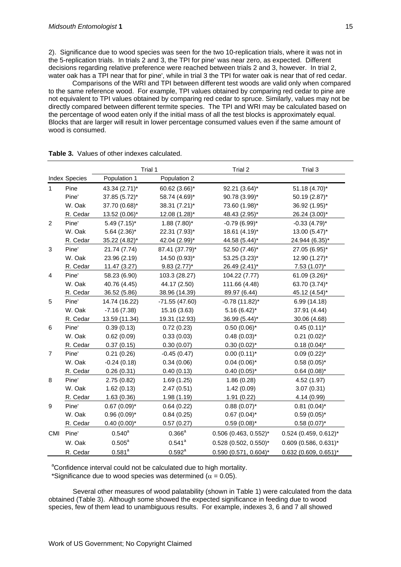2). Significance due to wood species was seen for the two 10-replication trials, where it was not in the 5-replication trials. In trials 2 and 3, the TPI for pine' was near zero, as expected. Different decisions regarding relative preference were reached between trials 2 and 3, however. In trial 2, water oak has a TPI near that for pine', while in trial 3 the TPI for water oak is near that of red cedar.

Comparisons of the WRI and TPI between different test woods are valid only when compared to the same reference wood. For example, TPI values obtained by comparing red cedar to pine are not equivalent to TPI values obtained by comparing red cedar to spruce. Similarly, values may not be directly compared between different termite species. The TPI and WRI may be calculated based on the percentage of wood eaten only if the initial mass of all the test blocks is approximately equal. Blocks that are larger will result in lower percentage consumed values even if the same amount of wood is consumed.

|                |                      |                    | Trial 1            | Trial 2                 | Trial 3                 |
|----------------|----------------------|--------------------|--------------------|-------------------------|-------------------------|
|                | <b>Index Species</b> | Population 1       | Population 2       |                         |                         |
| $\mathbf{1}$   | Pine                 | 43.34 (2.71)*      | 60.62 (3.66)*      | 92.21 (3.64)*           | 51.18 (4.70)*           |
|                | Pine'                | 37.85 (5.72)*      | 58.74 (4.69)*      | 90.78 (3.99)*           | 50.19 (2.87)*           |
|                | W. Oak               | 37.70 (0.68)*      | 38.31 (7.21)*      | 73.60 (1.98)*           | 36.92 (1.95)*           |
|                | R. Cedar             | 13.52 (0.06)*      | 12.08 (1.28)*      | 48.43 (2.95)*           | 26.24 (3.00)*           |
| 2              | Pine'                | $5.49(7.15)^*$     | $1.88(7.80)$ *     | $-0.79(6.99)^{*}$       | $-0.33(4.79)$ *         |
|                | W. Oak               | $5.64$ (2.36)*     | 22.31 (7.93)*      | 18.61 (4.19)*           | 13.00 (5.47)*           |
|                | R. Cedar             | 35.22 (4.82)*      | 42.04 (2.99)*      | 44.58 (5.44)*           | 24.944 (6.35)*          |
| 3              | Pine'                | 21.74 (7.74)       | 87.41 (37.79)*     | 52.50 (7.46)*           | 27.05 (6.95)*           |
|                | W. Oak               | 23.96 (2.19)       | 14.50 (0.93)*      | 53.25 (3.23)*           | 12.90 (1.27)*           |
|                | R. Cedar             | 11.47 (3.27)       | $9.83(2.77)^*$     | 26.49 (2.41)*           | $7.53(1.07)^*$          |
| $\overline{4}$ | Pine'                | 58.23 (6.90)       | 103.3 (28.27)      | 104.22 (7.77)           | 61.09 (3.26)*           |
|                | W. Oak               | 40.76 (4.45)       | 44.17 (2.50)       | 111.66 (4.48)           | 63.70 (3.74)*           |
|                | R. Cedar             | 36.52 (5.86)       | 38.96 (14.39)      | 89.97 (6.44)            | 45.12 (4.54)*           |
| 5              | Pine'                | 14.74 (16.22)      | $-71.55(47.60)$    | $-0.78(11.82)^{*}$      | 6.99 (14.18)            |
|                | W. Oak               | $-7.16(7.38)$      | 15.16 (3.63)       | $5.16(6.42)^{*}$        | 37.91 (4.44)            |
|                | R. Cedar             | 13.59 (11.34)      | 19.31 (12.93)      | 36.99 (5.44)*           | 30.06 (4.68)            |
| 6              | Pine'                | 0.39(0.13)         | 0.72(0.23)         | $0.50(0.06)^*$          | $0.45(0.11)^{*}$        |
|                | W. Oak               | 0.62(0.09)         | 0.33(0.03)         | $0.48(0.03)$ *          | $0.21(0.02)^{*}$        |
|                | R. Cedar             | 0.37(0.15)         | 0.30(0.07)         | $0.30(0.02)$ *          | $0.18(0.04)^{*}$        |
| $\overline{7}$ | Pine'                | 0.21(0.26)         | $-0.45(0.47)$      | $0.00(0.11)^{*}$        | $0.09(0.22)$ *          |
|                | W. Oak               | $-0.24(0.18)$      | 0.34(0.06)         | $0.04(0.06)$ *          | $0.58(0.05)^{*}$        |
|                | R. Cedar             | 0.26(0.31)         | 0.40(0.13)         | $0.40(0.05)^{*}$        | $0.64(0.08)$ *          |
| 8              | Pine'                | 2.75(0.82)         | 1.69(1.25)         | 1.86(0.28)              | 4.52 (1.97)             |
|                | W. Oak               | 1.62(0.13)         | 2.47(0.51)         | 1.42(0.09)              | 3.07(0.31)              |
|                | R. Cedar             | 1.63(0.36)         | 1.98(1.19)         | 1.91(0.22)              | 4.14 (0.99)             |
| 9              | Pine'                | $0.67(0.09)^{*}$   | 0.64(0.22)         | $0.88(0.07)^{*}$        | $0.81(0.04)^{*}$        |
|                | W. Oak               | $0.96(0.09)^{*}$   | 0.84(0.25)         | $0.67$ (0.04)*          | $0.59(0.05)^{*}$        |
|                | R. Cedar             | $0.40(0.00)*$      | 0.57(0.27)         | $0.59(0.08)$ *          | $0.58(0.07)^{*}$        |
| CMI            | Pine'                | $0.540^{a}$        | $0.366^{\text{a}}$ | $0.506$ (0.463, 0.552)* | $0.524$ (0.459, 0.612)* |
|                | W. Oak               | $0.505^{\text{a}}$ | $0.541^a$          | $0.528$ (0.502, 0.550)* | $0.609$ (0.586, 0.631)* |
|                | R. Cedar             | $0.581^{a}$        | $0.592^a$          | $0.590$ (0.571, 0.604)* | $0.632$ (0.609, 0.651)* |

| <b>Table 3.</b> Values of other indexes calculated. |
|-----------------------------------------------------|
|-----------------------------------------------------|

<sup>a</sup>Confidence interval could not be calculated due to high mortality.

\*Significance due to wood species was determined ( $\alpha$  = 0.05).

Several other measures of wood palatability (shown in Table 1) were calculated from the data obtained (Table 3). Although some showed the expected significance in feeding due to wood species, few of them lead to unambiguous results. For example, indexes 3, 6 and 7 all showed